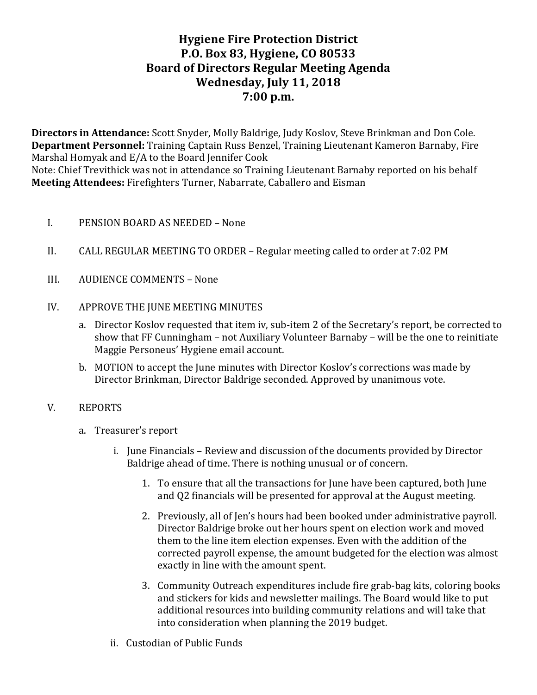# **Hygiene Fire Protection District P.O. Box 83, Hygiene, CO 80533 Board of Directors Regular Meeting Agenda Wednesday, July 11, 2018 7:00 p.m.**

**Directors in Attendance:** Scott Snyder, Molly Baldrige, Judy Koslov, Steve Brinkman and Don Cole. **Department Personnel:** Training Captain Russ Benzel, Training Lieutenant Kameron Barnaby, Fire Marshal Homyak and  $E/A$  to the Board Jennifer Cook

Note: Chief Trevithick was not in attendance so Training Lieutenant Barnaby reported on his behalf **Meeting Attendees:** Firefighters Turner, Nabarrate, Caballero and Eisman

- I. PENSION BOARD AS NEEDED None
- II. CALL REGULAR MEETING TO ORDER Regular meeting called to order at 7:02 PM
- III. AUDIENCE COMMENTS None
- IV. APPROVE THE JUNE MEETING MINUTES
	- a. Director Koslov requested that item iv, sub-item 2 of the Secretary's report, be corrected to show that  $FF$  Cunningham – not Auxiliary Volunteer Barnaby – will be the one to reinitiate Maggie Personeus' Hygiene email account.
	- b. MOTION to accept the June minutes with Director Koslov's corrections was made by Director Brinkman, Director Baldrige seconded. Approved by unanimous vote.

#### V. REPORTS

- a. Treasurer's report
	- i. June Financials Review and discussion of the documents provided by Director Baldrige ahead of time. There is nothing unusual or of concern.
		- 1. To ensure that all the transactions for June have been captured, both June and Q2 financials will be presented for approval at the August meeting.
		- 2. Previously, all of Jen's hours had been booked under administrative payroll. Director Baldrige broke out her hours spent on election work and moved them to the line item election expenses. Even with the addition of the corrected payroll expense, the amount budgeted for the election was almost exactly in line with the amount spent.
		- 3. Community Outreach expenditures include fire grab-bag kits, coloring books and stickers for kids and newsletter mailings. The Board would like to put additional resources into building community relations and will take that into consideration when planning the 2019 budget.
	- ii. Custodian of Public Funds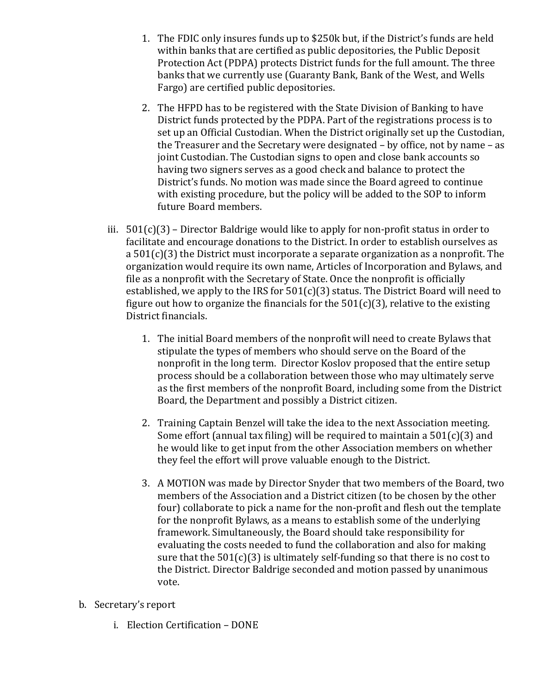- 1. The FDIC only insures funds up to \$250k but, if the District's funds are held within banks that are certified as public depositories, the Public Deposit Protection Act (PDPA) protects District funds for the full amount. The three banks that we currently use (Guaranty Bank, Bank of the West, and Wells Fargo) are certified public depositories.
- 2. The HFPD has to be registered with the State Division of Banking to have District funds protected by the PDPA. Part of the registrations process is to set up an Official Custodian. When the District originally set up the Custodian, the Treasurer and the Secretary were designated  $-$  by office, not by name  $-$  as joint Custodian. The Custodian signs to open and close bank accounts so having two signers serves as a good check and balance to protect the District's funds. No motion was made since the Board agreed to continue with existing procedure, but the policy will be added to the SOP to inform future Board members.
- iii.  $501(c)(3)$  Director Baldrige would like to apply for non-profit status in order to facilitate and encourage donations to the District. In order to establish ourselves as a  $501(c)(3)$  the District must incorporate a separate organization as a nonprofit. The organization would require its own name, Articles of Incorporation and Bylaws, and file as a nonprofit with the Secretary of State. Once the nonprofit is officially established, we apply to the IRS for  $501(c)(3)$  status. The District Board will need to figure out how to organize the financials for the  $501(c)(3)$ , relative to the existing District financials.
	- 1. The initial Board members of the nonprofit will need to create Bylaws that stipulate the types of members who should serve on the Board of the nonprofit in the long term. Director Koslov proposed that the entire setup process should be a collaboration between those who may ultimately serve as the first members of the nonprofit Board, including some from the District Board, the Department and possibly a District citizen.
	- 2. Training Captain Benzel will take the idea to the next Association meeting. Some effort (annual tax filing) will be required to maintain a  $501(c)(3)$  and he would like to get input from the other Association members on whether they feel the effort will prove valuable enough to the District.
	- 3. A MOTION was made by Director Snyder that two members of the Board, two members of the Association and a District citizen (to be chosen by the other four) collaborate to pick a name for the non-profit and flesh out the template for the nonprofit Bylaws, as a means to establish some of the underlying framework. Simultaneously, the Board should take responsibility for evaluating the costs needed to fund the collaboration and also for making sure that the  $501(c)(3)$  is ultimately self-funding so that there is no cost to the District. Director Baldrige seconded and motion passed by unanimous vote.
- b. Secretary's report
	- i. Election Certification DONE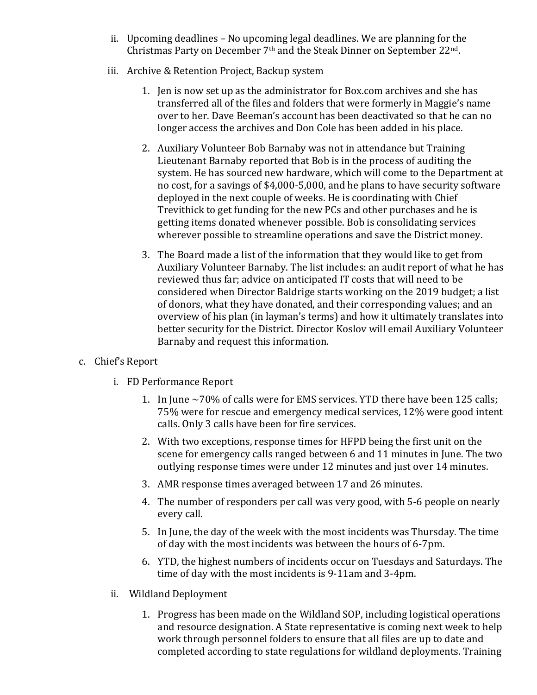- ii. Upcoming deadlines  $-$  No upcoming legal deadlines. We are planning for the Christmas Party on December  $7<sup>th</sup>$  and the Steak Dinner on September 22<sup>nd</sup>.
- iii. Archive & Retention Project, Backup system
	- 1. Jen is now set up as the administrator for Box.com archives and she has transferred all of the files and folders that were formerly in Maggie's name over to her. Dave Beeman's account has been deactivated so that he can no longer access the archives and Don Cole has been added in his place.
	- 2. Auxiliary Volunteer Bob Barnaby was not in attendance but Training Lieutenant Barnaby reported that Bob is in the process of auditing the system. He has sourced new hardware, which will come to the Department at no cost, for a savings of \$4,000-5,000, and he plans to have security software deployed in the next couple of weeks. He is coordinating with Chief Trevithick to get funding for the new PCs and other purchases and he is getting items donated whenever possible. Bob is consolidating services wherever possible to streamline operations and save the District money.
	- 3. The Board made a list of the information that they would like to get from Auxiliary Volunteer Barnaby. The list includes: an audit report of what he has reviewed thus far; advice on anticipated IT costs that will need to be considered when Director Baldrige starts working on the 2019 budget; a list of donors, what they have donated, and their corresponding values; and an overview of his plan (in layman's terms) and how it ultimately translates into better security for the District. Director Koslov will email Auxiliary Volunteer Barnaby and request this information.

# c. Chief's Report

- i. FD Performance Report
	- 1. In June  $\sim$  70% of calls were for EMS services. YTD there have been 125 calls; 75% were for rescue and emergency medical services, 12% were good intent calls. Only 3 calls have been for fire services.
	- 2. With two exceptions, response times for HFPD being the first unit on the scene for emergency calls ranged between 6 and 11 minutes in June. The two outlying response times were under 12 minutes and just over 14 minutes.
	- 3. AMR response times averaged between 17 and 26 minutes.
	- 4. The number of responders per call was very good, with 5-6 people on nearly every call.
	- 5. In June, the day of the week with the most incidents was Thursday. The time of day with the most incidents was between the hours of 6-7pm.
	- 6. YTD, the highest numbers of incidents occur on Tuesdays and Saturdays. The time of day with the most incidents is 9-11am and 3-4pm.
- ii. Wildland Deployment
	- 1. Progress has been made on the Wildland SOP, including logistical operations and resource designation. A State representative is coming next week to help work through personnel folders to ensure that all files are up to date and completed according to state regulations for wildland deployments. Training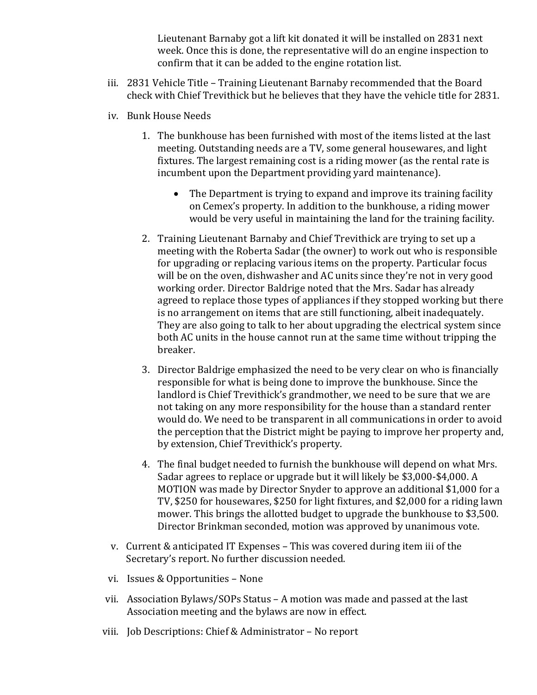Lieutenant Barnaby got a lift kit donated it will be installed on 2831 next week. Once this is done, the representative will do an engine inspection to confirm that it can be added to the engine rotation list.

- iii. 2831 Vehicle Title Training Lieutenant Barnaby recommended that the Board check with Chief Trevithick but he believes that they have the vehicle title for 2831.
- iv. Bunk House Needs
	- 1. The bunkhouse has been furnished with most of the items listed at the last meeting. Outstanding needs are a TV, some general housewares, and light fixtures. The largest remaining cost is a riding mower (as the rental rate is incumbent upon the Department providing yard maintenance).
		- The Department is trying to expand and improve its training facility on Cemex's property. In addition to the bunkhouse, a riding mower would be very useful in maintaining the land for the training facility.
	- 2. Training Lieutenant Barnaby and Chief Trevithick are trying to set up a meeting with the Roberta Sadar (the owner) to work out who is responsible for upgrading or replacing various items on the property. Particular focus will be on the oven, dishwasher and AC units since they're not in very good working order. Director Baldrige noted that the Mrs. Sadar has already agreed to replace those types of appliances if they stopped working but there is no arrangement on items that are still functioning, albeit inadequately. They are also going to talk to her about upgrading the electrical system since both AC units in the house cannot run at the same time without tripping the breaker.
	- 3. Director Baldrige emphasized the need to be very clear on who is financially responsible for what is being done to improve the bunkhouse. Since the landlord is Chief Trevithick's grandmother, we need to be sure that we are not taking on any more responsibility for the house than a standard renter would do. We need to be transparent in all communications in order to avoid the perception that the District might be paying to improve her property and, by extension, Chief Trevithick's property.
	- 4. The final budget needed to furnish the bunkhouse will depend on what Mrs. Sadar agrees to replace or upgrade but it will likely be \$3,000-\$4,000. A MOTION was made by Director Snyder to approve an additional \$1,000 for a TV, \$250 for housewares, \$250 for light fixtures, and \$2,000 for a riding lawn mower. This brings the allotted budget to upgrade the bunkhouse to \$3,500. Director Brinkman seconded, motion was approved by unanimous vote.
- v. Current & anticipated IT Expenses This was covered during item iii of the Secretary's report. No further discussion needed.
- vi. Issues & Opportunities None
- vii. Association Bylaws/SOPs Status A motion was made and passed at the last Association meeting and the bylaws are now in effect.
- viii. Job Descriptions: Chief & Administrator No report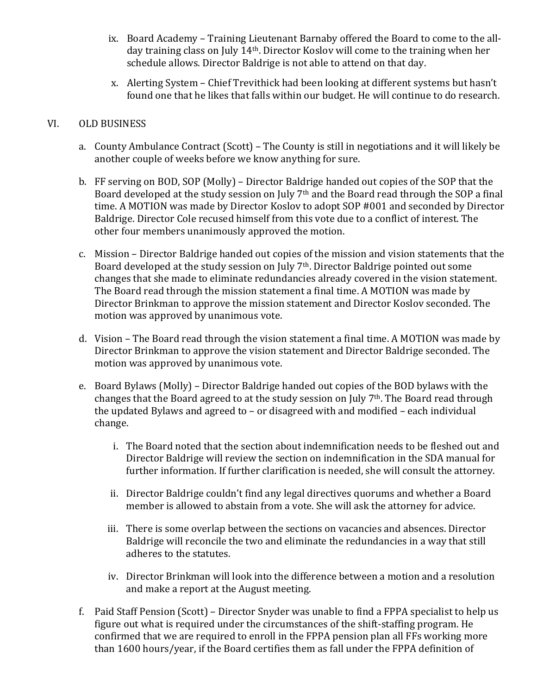- ix. Board Academy Training Lieutenant Barnaby offered the Board to come to the allday training class on July 14<sup>th</sup>. Director Koslov will come to the training when her schedule allows. Director Baldrige is not able to attend on that day.
- x. Alerting System Chief Trevithick had been looking at different systems but hasn't found one that he likes that falls within our budget. He will continue to do research.

#### VI. OLD BUSINESS

- a. County Ambulance Contract (Scott) The County is still in negotiations and it will likely be another couple of weeks before we know anything for sure.
- b. FF serving on BOD, SOP (Molly) Director Baldrige handed out copies of the SOP that the Board developed at the study session on July  $7<sup>th</sup>$  and the Board read through the SOP a final time. A MOTION was made by Director Koslov to adopt SOP #001 and seconded by Director Baldrige. Director Cole recused himself from this vote due to a conflict of interest. The other four members unanimously approved the motion.
- c. Mission Director Baldrige handed out copies of the mission and vision statements that the Board developed at the study session on July  $7<sup>th</sup>$ . Director Baldrige pointed out some changes that she made to eliminate redundancies already covered in the vision statement. The Board read through the mission statement a final time. A MOTION was made by Director Brinkman to approve the mission statement and Director Koslov seconded. The motion was approved by unanimous vote.
- d. Vision The Board read through the vision statement a final time. A MOTION was made by Director Brinkman to approve the vision statement and Director Baldrige seconded. The motion was approved by unanimous vote.
- e. Board Bylaws (Molly) Director Baldrige handed out copies of the BOD bylaws with the changes that the Board agreed to at the study session on July  $7<sup>th</sup>$ . The Board read through the updated Bylaws and agreed to  $-$  or disagreed with and modified  $-$  each individual change.
	- i. The Board noted that the section about indemnification needs to be fleshed out and Director Baldrige will review the section on indemnification in the SDA manual for further information. If further clarification is needed, she will consult the attorney.
	- ii. Director Baldrige couldn't find any legal directives quorums and whether a Board member is allowed to abstain from a vote. She will ask the attorney for advice.
	- iii. There is some overlap between the sections on vacancies and absences. Director Baldrige will reconcile the two and eliminate the redundancies in a way that still adheres to the statutes.
	- iv. Director Brinkman will look into the difference between a motion and a resolution and make a report at the August meeting.
- f. Paid Staff Pension (Scott) Director Snyder was unable to find a FPPA specialist to help us figure out what is required under the circumstances of the shift-staffing program. He confirmed that we are required to enroll in the FPPA pension plan all FFs working more than 1600 hours/year, if the Board certifies them as fall under the FPPA definition of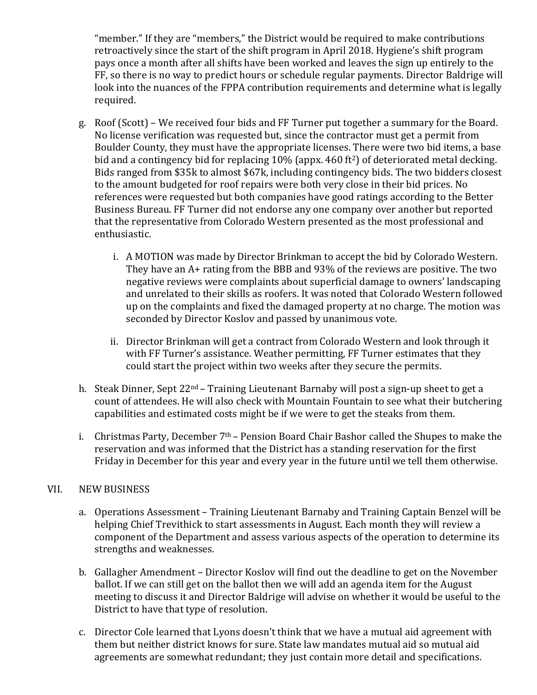"member." If they are "members," the District would be required to make contributions retroactively since the start of the shift program in April 2018. Hygiene's shift program pays once a month after all shifts have been worked and leaves the sign up entirely to the FF, so there is no way to predict hours or schedule regular payments. Director Baldrige will look into the nuances of the FPPA contribution requirements and determine what is legally required.

- g. Roof (Scott) We received four bids and FF Turner put together a summary for the Board. No license verification was requested but, since the contractor must get a permit from Boulder County, they must have the appropriate licenses. There were two bid items, a base bid and a contingency bid for replacing  $10\%$  (appx. 460 ft<sup>2</sup>) of deteriorated metal decking. Bids ranged from \$35k to almost \$67k, including contingency bids. The two bidders closest to the amount budgeted for roof repairs were both very close in their bid prices. No references were requested but both companies have good ratings according to the Better Business Bureau. FF Turner did not endorse any one company over another but reported that the representative from Colorado Western presented as the most professional and enthusiastic.
	- i. A MOTION was made by Director Brinkman to accept the bid by Colorado Western. They have an  $A+$  rating from the BBB and 93% of the reviews are positive. The two negative reviews were complaints about superficial damage to owners' landscaping and unrelated to their skills as roofers. It was noted that Colorado Western followed up on the complaints and fixed the damaged property at no charge. The motion was seconded by Director Koslov and passed by unanimous vote.
	- ii. Director Brinkman will get a contract from Colorado Western and look through it with FF Turner's assistance. Weather permitting, FF Turner estimates that they could start the project within two weeks after they secure the permits.
- h. Steak Dinner, Sept  $22^{nd}$  Training Lieutenant Barnaby will post a sign-up sheet to get a count of attendees. He will also check with Mountain Fountain to see what their butchering capabilities and estimated costs might be if we were to get the steaks from them.
- i. Christmas Party, December  $7<sup>th</sup>$  Pension Board Chair Bashor called the Shupes to make the reservation and was informed that the District has a standing reservation for the first Friday in December for this year and every year in the future until we tell them otherwise.

#### VII. NEW BUSINESS

- a. Operations Assessment Training Lieutenant Barnaby and Training Captain Benzel will be helping Chief Trevithick to start assessments in August. Each month they will review a component of the Department and assess various aspects of the operation to determine its strengths and weaknesses.
- b. Gallagher Amendment Director Koslov will find out the deadline to get on the November ballot. If we can still get on the ballot then we will add an agenda item for the August meeting to discuss it and Director Baldrige will advise on whether it would be useful to the District to have that type of resolution.
- c. Director Cole learned that Lyons doesn't think that we have a mutual aid agreement with them but neither district knows for sure. State law mandates mutual aid so mutual aid agreements are somewhat redundant; they just contain more detail and specifications.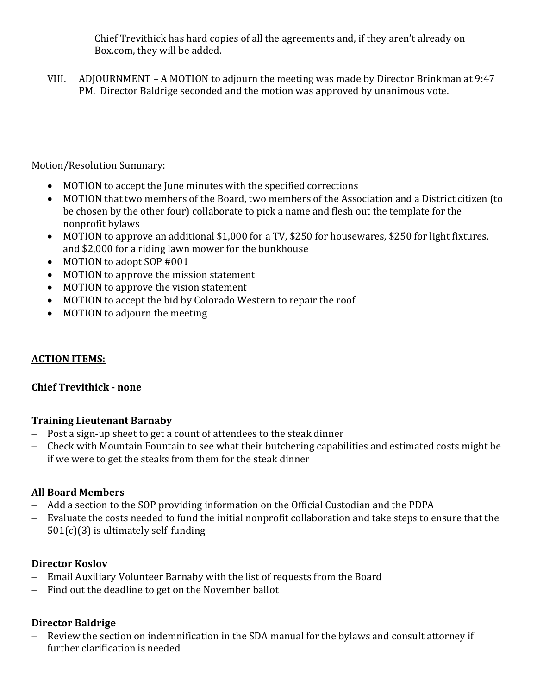Chief Trevithick has hard copies of all the agreements and, if they aren't already on Box.com, they will be added.

VIII. ADJOURNMENT – A MOTION to adjourn the meeting was made by Director Brinkman at  $9:47$ PM. Director Baldrige seconded and the motion was approved by unanimous vote.

Motion/Resolution Summary:

- MOTION to accept the June minutes with the specified corrections
- MOTION that two members of the Board, two members of the Association and a District citizen (to be chosen by the other four) collaborate to pick a name and flesh out the template for the nonprofit bylaws
- MOTION to approve an additional \$1,000 for a TV, \$250 for housewares, \$250 for light fixtures, and \$2,000 for a riding lawn mower for the bunkhouse
- MOTION to adopt SOP #001
- MOTION to approve the mission statement
- MOTION to approve the vision statement
- MOTION to accept the bid by Colorado Western to repair the roof
- MOTION to adjourn the meeting

# **ACTION ITEMS:**

# **Chief Trevithick - none**

# **Training Lieutenant Barnaby**

- Post a sign-up sheet to get a count of attendees to the steak dinner
- Check with Mountain Fountain to see what their butchering capabilities and estimated costs might be if we were to get the steaks from them for the steak dinner

# **All Board Members**

- Add a section to the SOP providing information on the Official Custodian and the PDPA
- Evaluate the costs needed to fund the initial nonprofit collaboration and take steps to ensure that the  $501(c)(3)$  is ultimately self-funding

# **Director Koslov**

- Email Auxiliary Volunteer Barnaby with the list of requests from the Board
- $-$  Find out the deadline to get on the November ballot

# **Director Baldrige**

- Review the section on indemnification in the SDA manual for the bylaws and consult attorney if further clarification is needed